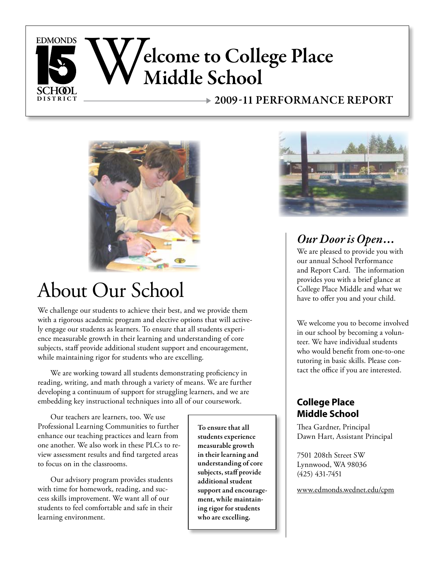



# About Our School

We challenge our students to achieve their best, and we provide them with a rigorous academic program and elective options that will actively engage our students as learners. To ensure that all students experience measurable growth in their learning and understanding of core subjects, staff provide additional student support and encouragement, while maintaining rigor for students who are excelling.

We are working toward all students demonstrating proficiency in reading, writing, and math through a variety of means. We are further developing a continuum of support for struggling learners, and we are embedding key instructional techniques into all of our coursework.

Our teachers are learners, too. We use Professional Learning Communities to further enhance our teaching practices and learn from one another. We also work in these PLCs to review assessment results and find targeted areas to focus on in the classrooms.

Our advisory program provides students with time for homework, reading, and success skills improvement. We want all of our students to feel comfortable and safe in their learning environment.

To ensure that all students experience measurable growth in their learning and understanding of core subjects, staff provide additional student support and encouragement, while maintaining rigor for students who are excelling.



## *Our DoorisOpen. . .*

We are pleased to provide you with our annual School Performance and Report Card. The information provides you with a brief glance at College Place Middle and what we have to offer you and your child.

We welcome you to become involved in our school by becoming a volunteer. We have individual students who would benefit from one-to-one tutoring in basic skills. Please contact the office if you are interested.

## **College Place Middle School**

Thea Gardner, Principal Dawn Hart, Assistant Principal

7501 208th Street SW Lynnwood, WA 98036 (425) 431-7451

www.edmonds.wednet.edu/cpm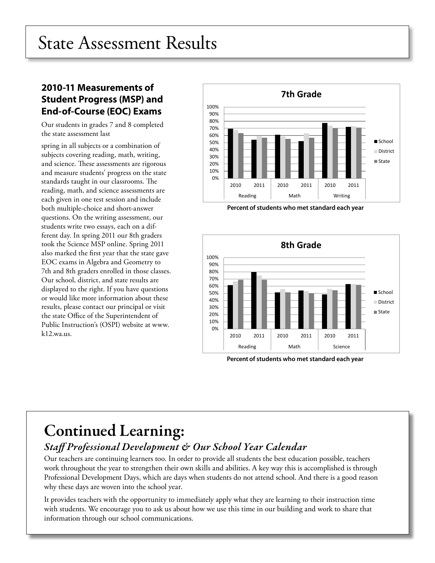# State Assessment Results

## **2010-11 Measurements of Student Progress (MSP) and End-of-Course (EOC) Exams**

Our students in grades 7 and 8 completed the state assessment last

spring in all subjects or a combination of subjects covering reading, math, writing, and science. These assessments are rigorous and measure students' progress on the state standards taught in our classrooms. The reading, math, and science assessments are each given in one test session and include both multiple-choice and short-answer questions. On the writing assessment, our students write two essays, each on a different day. In spring 2011 our 8th graders took the Science MSP online. Spring 2011 also marked the first year that the state gave EOC exams in Algebra and Geometry to 7th and 8th graders enrolled in those classes. Our school, district, and state results are displayed to the right. If you have questions or would like more information about these results, please contact our principal or visit the state Office of the Superintendent of Public Instruction's (OSPI) website at www. k12.wa.us.



**Percent of students who met standard each year**



**Percent of students who met standard each year**

## Continued Learning: *Staff Professional Development & Our School Year Calendar*

Our teachers are continuing learners too. In order to provide all students the best education possible, teachers work throughout the year to strengthen their own skills and abilities. A key way this is accomplished is through Professional Development Days, which are days when students do not attend school. And there is a good reason why these days are woven into the school year.

It provides teachers with the opportunity to immediately apply what they are learning to their instruction time with students. We encourage you to ask us about how we use this time in our building and work to share that information through our school communications.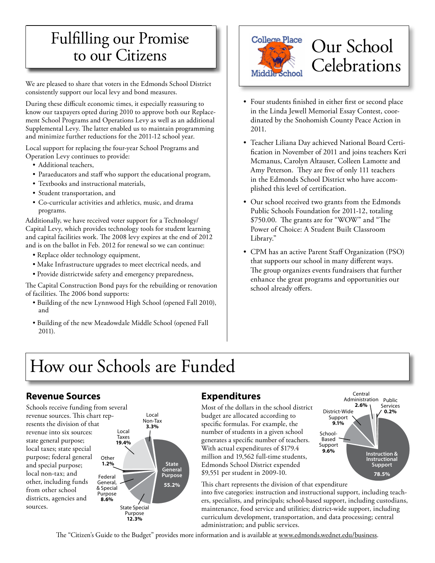## Fulfilling our Promise Fulfilling our Promise to our Citizens to our Citizens

We are pleased to share that voters in the Edmonds School District consistently support our local levy and bond measures.

During these difficult economic times, it especially reassuring to know our taxpayers opted during 2010 to approve both our Replacement School Programs and Operations Levy as well as an additional Supplemental Levy. The latter enabled us to maintain programming and minimize further reductions for the 2011-12 school year.

Local support for replacing the four-year School Programs and Operation Levy continues to provide:

- • Additional teachers,
- Paraeducators and staff who support the educational program,
- Textbooks and instructional materials,
- Student transportation, and
- • Co-curricular activities and athletics, music, and drama programs.

Additionally, we have received voter support for a Technology/ Capital Levy, which provides technology tools for student learning and capital facilities work. The 2008 levy expires at the end of 2012 and is on the ballot in Feb. 2012 for renewal so we can continue:

- Replace older technology equipment,
- Make Infrastructure upgrades to meet electrical needs, and
- Provide districtwide safety and emergency preparedness,

The Capital Construction Bond pays for the rebuilding or renovation of facilities. The 2006 bond supports:

- Building of the new Lynnwood High School (opened Fall 2010), and
- Building of the new Meadowdale Middle School (opened Fall 2011).



- • Four students finished in either first or second place in the Linda Jewell Memorial Essay Contest, coordinated by the Snohomish County Peace Action in 2011.
- • Teacher Liliana Day achieved National Board Certification in November of 2011 and joins teachers Keri Mcmanus, Carolyn Altauser, Colleen Lamotte and Amy Peterson. They are five of only 111 teachers in the Edmonds School District who have accomplished this level of certification.
- Our school received two grants from the Edmonds Public Schools Foundation for 2011-12, totaling \$750.00. The grants are for "WOW" and "The Power of Choice: A Student Built Classroom Library."
- CPM has an active Parent Staff Organization (PSO) that supports our school in many different ways. The group organizes events fundraisers that further enhance the great programs and opportunities our school already offers.

# How our Schools are Funded

## **Revenue Sources**

General, & Special Purpose **8.6%** Schools receive funding from several revenue sources. This chart represents the division of that revenue into six sources: state general purpose; local taxes; state special purpose; federal general and special purpose; local non-tax; and other, including funds from other school districts, agencies and sources.



## **Expenditures**

Most of the dollars in the school district budget are allocated according to specific formulas. For example, the number of students in a given school generates a specific number of teachers. With actual expenditures of \$179.4 million and 19,562 full-time students, Edmonds School District expended \$9,551 per student in 2009-10.



This chart represents the division of that expenditure into five categories: instruction and instructional support, including teachers, specialists, and principals; school-based support, including custodians, maintenance, food service and utilities; district-wide support, including curriculum development, transportation, and data processing; central administration; and public services.

The "Citizen's Guide to the Budget" provides more information and is available at www.edmonds.wednet.edu/business.